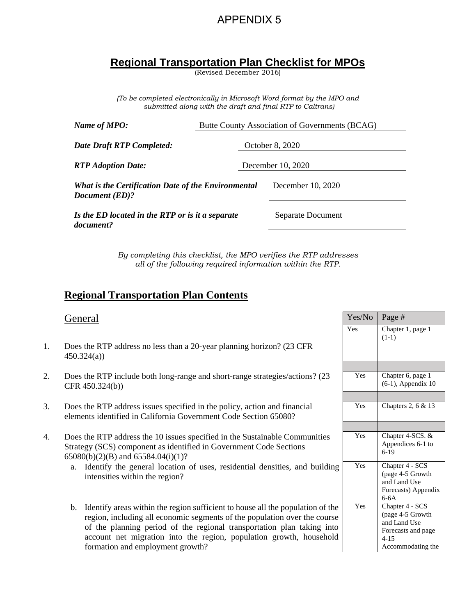## APPENDIX 5

# **Regional Transportation Plan Checklist for MPOs**

(Revised December 2016)

*(To be completed electronically in Microsoft Word format by the MPO and submitted along with the draft and final RTP to Caltrans)*

| Name of MPO:                                                          | Butte County Association of Governments (BCAG) |  |
|-----------------------------------------------------------------------|------------------------------------------------|--|
| Date Draft RTP Completed:                                             | October 8, 2020                                |  |
| <b>RTP</b> Adoption Date:                                             | December 10, 2020                              |  |
| What is the Certification Date of the Environmental<br>Document (ED)? | December 10, 2020                              |  |
| Is the ED located in the RTP or is it a separate<br>document?         | Separate Document                              |  |

*By completing this checklist, the MPO verifies the RTP addresses all of the following required information within the RTP.*

## **Regional Transportation Plan Contents**

|    | General                                                                                                                                                                                                                                                                                                                                                            | Yes/No | Page #                                                                                                     |
|----|--------------------------------------------------------------------------------------------------------------------------------------------------------------------------------------------------------------------------------------------------------------------------------------------------------------------------------------------------------------------|--------|------------------------------------------------------------------------------------------------------------|
| 1. | Does the RTP address no less than a 20-year planning horizon? (23 CFR)<br>450.324(a)                                                                                                                                                                                                                                                                               | Yes    | Chapter 1, page 1<br>$(1-1)$                                                                               |
|    |                                                                                                                                                                                                                                                                                                                                                                    |        |                                                                                                            |
| 2. | Does the RTP include both long-range and short-range strategies/actions? (23)<br>CFR $450.324(b)$ )                                                                                                                                                                                                                                                                | Yes    | Chapter 6, page 1<br>$(6-1)$ , Appendix 10                                                                 |
|    |                                                                                                                                                                                                                                                                                                                                                                    |        |                                                                                                            |
| 3. | Does the RTP address issues specified in the policy, action and financial<br>elements identified in California Government Code Section 65080?                                                                                                                                                                                                                      | Yes    | Chapters 2, 6 & 13                                                                                         |
|    |                                                                                                                                                                                                                                                                                                                                                                    |        |                                                                                                            |
| 4. | Does the RTP address the 10 issues specified in the Sustainable Communities<br>Strategy (SCS) component as identified in Government Code Sections<br>65080(b)(2)(B) and 65584.04(i)(1)?                                                                                                                                                                            | Yes    | Chapter 4-SCS. &<br>Appendices 6-1 to<br>$6-19$                                                            |
|    | Identify the general location of uses, residential densities, and building<br>a.<br>intensities within the region?                                                                                                                                                                                                                                                 | Yes    | Chapter 4 - SCS<br>(page 4-5 Growth<br>and Land Use<br>Forecasts) Appendix<br>$6-6A$                       |
|    | Identify areas within the region sufficient to house all the population of the<br>$\mathbf{b}$ .<br>region, including all economic segments of the population over the course<br>of the planning period of the regional transportation plan taking into<br>account net migration into the region, population growth, household<br>formation and employment growth? | Yes    | Chapter 4 - SCS<br>(page 4-5 Growth<br>and Land Use<br>Forecasts and page<br>$4 - 15$<br>Accommodating the |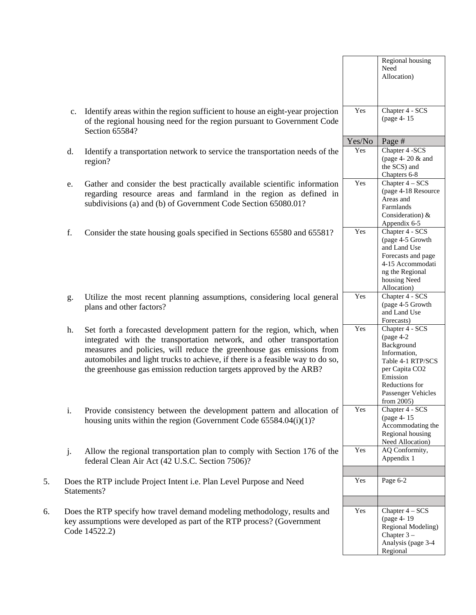|    |             |                                                                                                                                                                                                                                                                                                                                                                               |        | Regional housing<br>Need<br>Allocation)                                                                                                                                  |
|----|-------------|-------------------------------------------------------------------------------------------------------------------------------------------------------------------------------------------------------------------------------------------------------------------------------------------------------------------------------------------------------------------------------|--------|--------------------------------------------------------------------------------------------------------------------------------------------------------------------------|
|    | $c_{\cdot}$ | Identify areas within the region sufficient to house an eight-year projection<br>of the regional housing need for the region pursuant to Government Code<br>Section 65584?                                                                                                                                                                                                    | Yes    | Chapter 4 - SCS<br>(page 4-15)                                                                                                                                           |
|    |             |                                                                                                                                                                                                                                                                                                                                                                               | Yes/No | Page #                                                                                                                                                                   |
|    | $d$ .       | Identify a transportation network to service the transportation needs of the<br>region?                                                                                                                                                                                                                                                                                       | Yes    | Chapter 4 -SCS<br>(page 4-20 & and<br>the SCS) and<br>Chapters 6-8                                                                                                       |
|    | e.          | Gather and consider the best practically available scientific information<br>regarding resource areas and farmland in the region as defined in<br>subdivisions (a) and (b) of Government Code Section 65080.01?                                                                                                                                                               | Yes    | Chapter 4 - SCS<br>(page 4-18 Resource<br>Areas and<br>Farmlands<br>Consideration) $&$<br>Appendix 6-5                                                                   |
|    | f.          | Consider the state housing goals specified in Sections 65580 and 65581?                                                                                                                                                                                                                                                                                                       | Yes    | Chapter 4 - SCS<br>(page 4-5 Growth<br>and Land Use<br>Forecasts and page<br>4-15 Accommodati<br>ng the Regional<br>housing Need<br>Allocation)                          |
|    | g.          | Utilize the most recent planning assumptions, considering local general<br>plans and other factors?                                                                                                                                                                                                                                                                           | Yes    | Chapter 4 - SCS<br>(page 4-5 Growth<br>and Land Use<br>Forecasts)                                                                                                        |
|    | h.          | Set forth a forecasted development pattern for the region, which, when<br>integrated with the transportation network, and other transportation<br>measures and policies, will reduce the greenhouse gas emissions from<br>automobiles and light trucks to achieve, if there is a feasible way to do so,<br>the greenhouse gas emission reduction targets approved by the ARB? | Yes    | Chapter 4 - SCS<br>(page $4-2$<br>Background<br>Information,<br>Table 4-1 RTP/SCS<br>per Capita CO2<br>Emission<br>Reductions for<br>Passenger Vehicles<br>from $2005$ ) |
|    | i.          | Provide consistency between the development pattern and allocation of<br>housing units within the region (Government Code $65584.04(i)(1)?$                                                                                                                                                                                                                                   | Yes    | Chapter 4 - SCS<br>(page 4-15)<br>Accommodating the<br>Regional housing<br>Need Allocation)                                                                              |
|    | j.          | Allow the regional transportation plan to comply with Section 176 of the<br>federal Clean Air Act (42 U.S.C. Section 7506)?                                                                                                                                                                                                                                                   | Yes    | AQ Conformity,<br>Appendix 1                                                                                                                                             |
| 5. |             | Does the RTP include Project Intent i.e. Plan Level Purpose and Need<br>Statements?                                                                                                                                                                                                                                                                                           | Yes    | Page 6-2                                                                                                                                                                 |
| 6. |             | Does the RTP specify how travel demand modeling methodology, results and<br>key assumptions were developed as part of the RTP process? (Government<br>Code 14522.2)                                                                                                                                                                                                           | Yes    | Chapter 4 - SCS<br>(page 4-19)<br>Regional Modeling)<br>Chapter $3-$<br>Analysis (page 3-4<br>Regional                                                                   |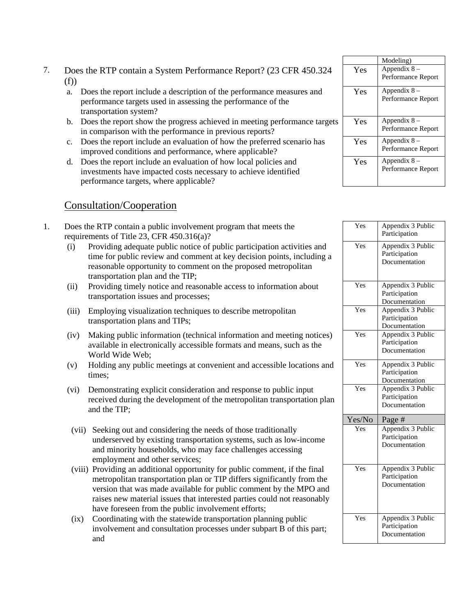- 7. Does the RTP contain a System Performance Report? (23 CFR 450.324 (f))
	- a. Does the report include a description of the performance measures and performance targets used in assessing the performance of the transportation system?
	- b. Does the report show the progress achieved in meeting performance targets in comparison with the performance in previous reports?
	- c. Does the report include an evaluation of how the preferred scenario has improved conditions and performance, where applicable?
	- d. Does the report include an evaluation of how local policies and investments have impacted costs necessary to achieve identified performance targets, where applicable?

#### Consultation/Cooperation

- 1. Does the RTP contain a public involvement program that meets the requirements of Title 23, CFR 450.316(a)?
	- (i) Providing adequate public notice of public participation activities and time for public review and comment at key decision points, including a reasonable opportunity to comment on the proposed metropolitan transportation plan and the TIP;
	- (ii) Providing timely notice and reasonable access to information about transportation issues and processes;
	- (iii) Employing visualization techniques to describe metropolitan transportation plans and TIPs;
	- (iv) Making public information (technical information and meeting notices) available in electronically accessible formats and means, such as the World Wide Web;
	- (v) Holding any public meetings at convenient and accessible locations and times;
	- (vi) Demonstrating explicit consideration and response to public input received during the development of the metropolitan transportation plan and the TIP;
	- (vii) Seeking out and considering the needs of those traditionally underserved by existing transportation systems, such as low-income and minority households, who may face challenges accessing employment and other services;
	- (viii) Providing an additional opportunity for public comment, if the final metropolitan transportation plan or TIP differs significantly from the version that was made available for public comment by the MPO and raises new material issues that interested parties could not reasonably have foreseen from the public involvement efforts;
	- (ix) Coordinating with the statewide transportation planning public involvement and consultation processes under subpart B of this part; and

|     | Modeling)                           |
|-----|-------------------------------------|
| Yes | Appendix $8-$<br>Performance Report |
| Yes | Appendix $8-$<br>Performance Report |
| Yes | Appendix $8-$<br>Performance Report |
| Yes | Appendix $8-$<br>Performance Report |
| Yes | Appendix $8-$<br>Performance Report |

| Yes    | Appendix 3 Public<br>Participation                  |
|--------|-----------------------------------------------------|
| Yes    | Appendix 3 Public<br>Participation<br>Documentation |
| Yes    | Appendix 3 Public<br>Participation<br>Documentation |
| Yes    | Appendix 3 Public<br>Participation<br>Documentation |
| Yes    | Appendix 3 Public<br>Participation<br>Documentation |
| Yes    | Appendix 3 Public<br>Participation<br>Documentation |
| Yes    | Appendix 3 Public<br>Participation<br>Documentation |
| Yes/No | Page#                                               |
| Yes    | Appendix 3 Public<br>Participation<br>Documentation |
| Yes    | Appendix 3 Public<br>Participation<br>Documentation |
| Yes    | Appendix 3 Public<br>Participation<br>Documentation |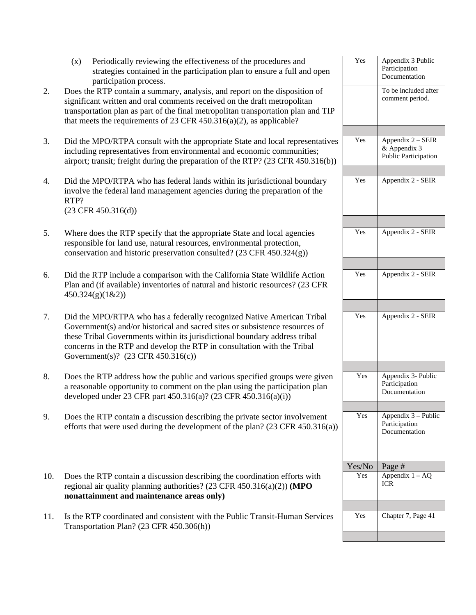|     | Periodically reviewing the effectiveness of the procedures and<br>(x)<br>strategies contained in the participation plan to ensure a full and open<br>participation process.                                                                                                                                                                                      | Yes           | Appendix 3 Public<br>Participation<br>Documentation       |
|-----|------------------------------------------------------------------------------------------------------------------------------------------------------------------------------------------------------------------------------------------------------------------------------------------------------------------------------------------------------------------|---------------|-----------------------------------------------------------|
| 2.  | Does the RTP contain a summary, analysis, and report on the disposition of<br>significant written and oral comments received on the draft metropolitan<br>transportation plan as part of the final metropolitan transportation plan and TIP<br>that meets the requirements of 23 CFR $450.316(a)(2)$ , as applicable?                                            |               | To be included after<br>comment period.                   |
| 3.  | Did the MPO/RTPA consult with the appropriate State and local representatives<br>including representatives from environmental and economic communities;<br>airport; transit; freight during the preparation of the RTP? (23 CFR 450.316(b))                                                                                                                      | Yes           | Appendix 2 - SEIR<br>& Appendix 3<br>Public Participation |
| 4.  | Did the MPO/RTPA who has federal lands within its jurisdictional boundary<br>involve the federal land management agencies during the preparation of the<br>RTP?<br>$(23$ CFR $450.316(d))$                                                                                                                                                                       | Yes           | Appendix 2 - SEIR                                         |
| 5.  | Where does the RTP specify that the appropriate State and local agencies<br>responsible for land use, natural resources, environmental protection,<br>conservation and historic preservation consulted? $(23 \text{ CFR } 450.324(g))$                                                                                                                           | Yes           | Appendix 2 - SEIR                                         |
| 6.  | Did the RTP include a comparison with the California State Wildlife Action<br>Plan and (if available) inventories of natural and historic resources? (23 CFR<br>450.324(g)(1&2)                                                                                                                                                                                  | Yes           | Appendix 2 - SEIR                                         |
| 7.  | Did the MPO/RTPA who has a federally recognized Native American Tribal<br>Government(s) and/or historical and sacred sites or subsistence resources of<br>these Tribal Governments within its jurisdictional boundary address tribal<br>concerns in the RTP and develop the RTP in consultation with the Tribal<br>Government(s)? $(23 \text{ CFR } 450.316(c))$ | Yes           | Appendix 2 - SEIR                                         |
| 8.  | Does the RTP address how the public and various specified groups were given<br>a reasonable opportunity to comment on the plan using the participation plan<br>developed under 23 CFR part 450.316(a)? (23 CFR 450.316(a)(i))                                                                                                                                    | Yes           | Appendix 3- Public<br>Participation<br>Documentation      |
| 9.  | Does the RTP contain a discussion describing the private sector involvement<br>efforts that were used during the development of the plan? $(23 \text{ CFR } 450.316(a))$                                                                                                                                                                                         | Yes           | Appendix 3 - Public<br>Participation<br>Documentation     |
| 10. | Does the RTP contain a discussion describing the coordination efforts with<br>regional air quality planning authorities? $(23 \text{ CFR } 450.316(a)(2)) \text{ (MPO)}$<br>nonattainment and maintenance areas only)                                                                                                                                            | Yes/No<br>Yes | Page #<br>Appendix $1 - \overline{AQ}$<br><b>ICR</b>      |
| 11. | Is the RTP coordinated and consistent with the Public Transit-Human Services<br>Transportation Plan? (23 CFR 450.306(h))                                                                                                                                                                                                                                         | Yes           | Chapter 7, Page 41                                        |
|     |                                                                                                                                                                                                                                                                                                                                                                  |               |                                                           |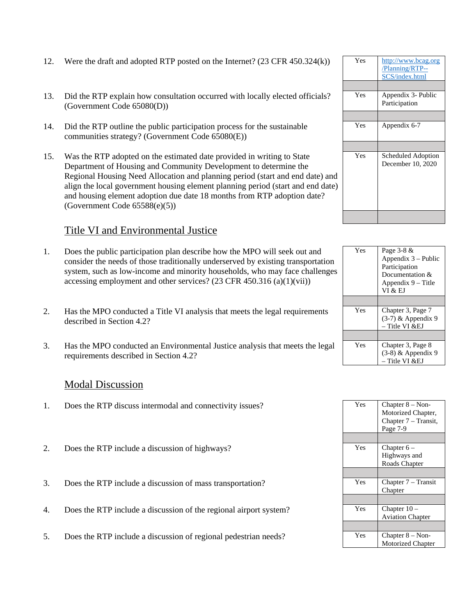- 12. Were the draft and adopted RTP posted on the Internet?  $(23 \text{ CFR } 450.324 \text{k})$
- 13. Did the RTP explain how consultation occurred with locally elected officials? (Government Code 65080(D))
- 14. Did the RTP outline the public participation process for the sustainable communities strategy? (Government Code 65080(E))
- 15. Was the RTP adopted on the estimated date provided in writing to State Department of Housing and Community Development to determine the Regional Housing Need Allocation and planning period (start and end date) and align the local government housing element planning period (start and end date) and housing element adoption due date 18 months from RTP adoption date? (Government Code 65588(e)(5))

#### Title VI and Environmental Justice

- 1. Does the public participation plan describe how the MPO will seek out and consider the needs of those traditionally underserved by existing transportation system, such as low-income and minority households, who may face challenges accessing employment and other services? (23 CFR 450.316 (a)(1)(vii))
- 2. Has the MPO conducted a Title VI analysis that meets the legal requirements described in Section 4.2?
- 3. Has the MPO conducted an Environmental Justice analysis that meets the legal requirements described in Section 4.2?

#### Modal Discussion

- 1. Does the RTP discuss intermodal and connectivity issues?
- 2. Does the RTP include a discussion of highways?
- 3. Does the RTP include a discussion of mass transportation?
- 4. Does the RTP include a discussion of the regional airport system?
- 5. Does the RTP include a discussion of regional pedestrian needs?

| Yes | http://www.bcag.org<br>/Planning/RTP--<br>SCS/index.html |
|-----|----------------------------------------------------------|
|     |                                                          |
| Yes | Appendix 3- Public<br>Participation                      |
|     |                                                          |
| Yes | Appendix 6-7                                             |
|     |                                                          |
| Yes | Scheduled Adoption<br>December 10, 2020                  |
|     |                                                          |

| Yes | Page $3-8 \&$<br>Appendix $3$ – Public<br>Participation<br>Documentation &<br>Appendix 9 – Title<br>VI & EJ |
|-----|-------------------------------------------------------------------------------------------------------------|
|     |                                                                                                             |
| Yes | Chapter 3, Page 7<br>$(3-7)$ & Appendix 9<br>– Title VI &EJ                                                 |
|     |                                                                                                             |
| Yes | Chapter 3, Page 8<br>$(3-8)$ & Appendix 9<br>– Title VI &EJ                                                 |

| Yes | Chapter $8 - \text{Non}$<br>Motorized Chapter, |
|-----|------------------------------------------------|
|     | Chapter 7 – Transit,                           |
|     | Page 7-9                                       |
|     |                                                |
| Yes | Chapter $6-$                                   |
|     | Highways and                                   |
|     | Roads Chapter                                  |
|     |                                                |
| Yes | Chapter 7 – Transit                            |
|     | Chapter                                        |
|     |                                                |
| Yes | Chapter $10 -$                                 |
|     | <b>Aviation Chapter</b>                        |
|     |                                                |
| Yes | Chapter $8 - \text{Non}$                       |
|     | Motorized Chapter                              |
|     |                                                |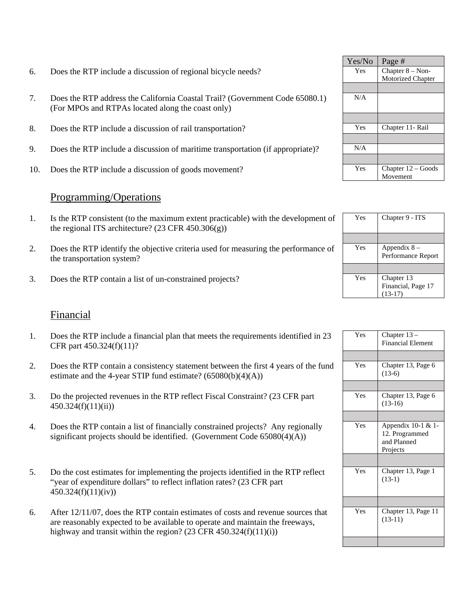- 6. Does the RTP include a discussion of regional bicycle needs?
- 7. Does the RTP address the California Coastal Trail? (Government Code 65080.1) (For MPOs and RTPAs located along the coast only)
- 8. Does the RTP include a discussion of rail transportation?
- 9. Does the RTP include a discussion of maritime transportation (if appropriate)?
- 10. Does the RTP include a discussion of goods movement?

#### Programming/Operations

- 1. Is the RTP consistent (to the maximum extent practicable) with the development of the regional ITS architecture?  $(23 \text{ CFR } 450.306(g))$
- 2. Does the RTP identify the objective criteria used for measuring the performance of the transportation system?
- 3. Does the RTP contain a list of un-constrained projects?

#### Financial

- 1. Does the RTP include a financial plan that meets the requirements identified in 23 CFR part 450.324(f)(11)?
- 2. Does the RTP contain a consistency statement between the first 4 years of the fund estimate and the 4-year STIP fund estimate?  $(65080(b)(4)(A))$
- 3. Do the projected revenues in the RTP reflect Fiscal Constraint? (23 CFR part 450.324(f)(11)(ii))
- 4. Does the RTP contain a list of financially constrained projects? Any regionally significant projects should be identified. (Government Code  $65080(4)(A)$ )
- 5. Do the cost estimates for implementing the projects identified in the RTP reflect "year of expenditure dollars" to reflect inflation rates? (23 CFR part  $450.324(f)(11)(iv)$
- 6. After 12/11/07, does the RTP contain estimates of costs and revenue sources that are reasonably expected to be available to operate and maintain the freeways, highway and transit within the region?  $(23 \text{ CFR } 450.324 \text{ (f)}(11)(i))$

| Yes/No | Page#                    |
|--------|--------------------------|
| Yes    | Chapter $8 - \text{Non}$ |
|        | Motorized Chapter        |
|        |                          |
| N/A    |                          |
|        |                          |
| Yes    | Chapter 11- Rail         |
|        |                          |
| N/A    |                          |
|        |                          |
| Yes    | Chapter $12 -$ Goods     |
|        | Movement                 |

| Yes | Chapter 9 - ITS                               |
|-----|-----------------------------------------------|
|     |                                               |
| Yes | Appendix $8-$<br>Performance Report           |
|     |                                               |
| Yes | Chapter 13<br>Financial, Page 17<br>$(13-17)$ |

| Yes | Chapter $13-$<br><b>Financial Element</b>                       |
|-----|-----------------------------------------------------------------|
|     |                                                                 |
| Yes | Chapter 13, Page 6<br>$(13-6)$                                  |
|     |                                                                 |
| Yes | Chapter 13, Page 6<br>$(13-16)$                                 |
|     |                                                                 |
| Yes | Appendix 10-1 & 1-<br>12. Programmed<br>and Planned<br>Projects |
|     |                                                                 |
| Yes | Chapter 13, Page 1<br>$(13-1)$                                  |
|     |                                                                 |
| Yes | Chapter 13, Page 11<br>$(13-11)$                                |
|     |                                                                 |